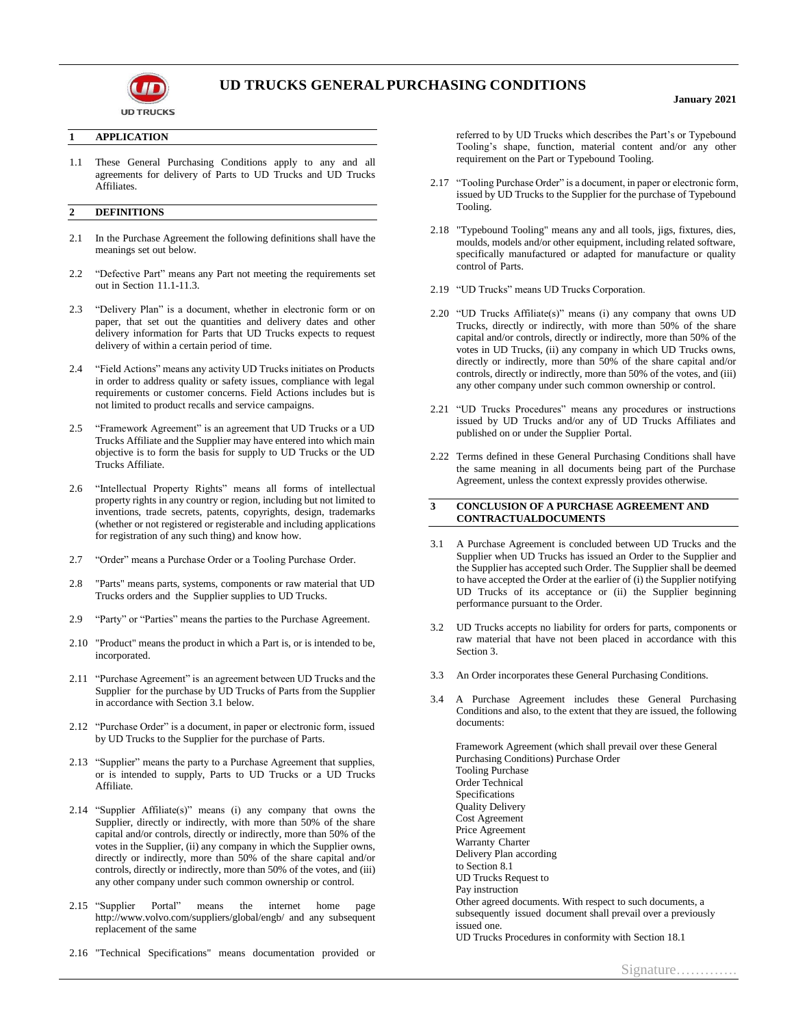

# **UD TRUCKS GENERALPURCHASING CONDITIONS**

#### **1 APPLICATION**

1.1 These General Purchasing Conditions apply to any and all agreements for delivery of Parts to UD Trucks and UD Trucks Affiliates.

# **2 DEFINITIONS**

- 2.1 In the Purchase Agreement the following definitions shall have the meanings set out below.
- 2.2 "Defective Part" means any Part not meeting the requirements set out in Section 11.1-11.3.
- 2.3 "Delivery Plan" is a document, whether in electronic form or on paper, that set out the quantities and delivery dates and other delivery information for Parts that UD Trucks expects to request delivery of within a certain period of time.
- 2.4 "Field Actions" means any activity UD Trucks initiates on Products in order to address quality or safety issues, compliance with legal requirements or customer concerns. Field Actions includes but is not limited to product recalls and service campaigns.
- 2.5 "Framework Agreement" is an agreement that UD Trucks or a UD Trucks Affiliate and the Supplier may have entered into which main objective is to form the basis for supply to UD Trucks or the UD Trucks Affiliate.
- 2.6 "Intellectual Property Rights" means all forms of intellectual property rights in any country or region, including but not limited to inventions, trade secrets, patents, copyrights, design, trademarks (whether or not registered or registerable and including applications for registration of any such thing) and know how.
- 2.7 "Order" means a Purchase Order or a Tooling Purchase Order.
- 2.8 "Parts" means parts, systems, components or raw material that UD Trucks orders and the Supplier supplies to UD Trucks.
- 2.9 "Party" or "Parties" means the parties to the Purchase Agreement.
- 2.10 "Product" means the product in which a Part is, or is intended to be, incorporated.
- 2.11 "Purchase Agreement" is an agreement between UD Trucks and the Supplier for the purchase by UD Trucks of Parts from the Supplier in accordance with Section 3.1 below.
- 2.12 "Purchase Order" is a document, in paper or electronic form, issued by UD Trucks to the Supplier for the purchase of Parts.
- 2.13 "Supplier" means the party to a Purchase Agreement that supplies, or is intended to supply, Parts to UD Trucks or a UD Trucks Affiliate.
- 2.14 "Supplier Affiliate(s)" means (i) any company that owns the Supplier, directly or indirectly, with more than 50% of the share capital and/or controls, directly or indirectly, more than 50% of the votes in the Supplier, (ii) any company in which the Supplier owns, directly or indirectly, more than 50% of the share capital and/or controls, directly or indirectly, more than 50% of the votes, and (iii) any other company under such common ownership or control.
- 2.15 "Supplier Portal" means the internet home page http://www.volvo.com/suppliers/global/engb/ and any subsequent replacement of the same
- 2.16 "Technical Specifications" means documentation provided or

referred to by UD Trucks which describes the Part's or Typebound Tooling's shape, function, material content and/or any other requirement on the Part or Typebound Tooling.

- 2.17 "Tooling Purchase Order" is a document, in paper or electronic form, issued by UD Trucks to the Supplier for the purchase of Typebound Tooling.
- 2.18 "Typebound Tooling" means any and all tools, jigs, fixtures, dies, moulds, models and/or other equipment, including related software, specifically manufactured or adapted for manufacture or quality control of Parts.
- 2.19 "UD Trucks" means UD Trucks Corporation.
- 2.20 "UD Trucks Affiliate(s)" means (i) any company that owns UD Trucks, directly or indirectly, with more than 50% of the share capital and/or controls, directly or indirectly, more than 50% of the votes in UD Trucks, (ii) any company in which UD Trucks owns, directly or indirectly, more than 50% of the share capital and/or controls, directly or indirectly, more than 50% of the votes, and (iii) any other company under such common ownership or control.
- 2.21 "UD Trucks Procedures" means any procedures or instructions issued by UD Trucks and/or any of UD Trucks Affiliates and published on or under the Supplier Portal.
- 2.22 Terms defined in these General Purchasing Conditions shall have the same meaning in all documents being part of the Purchase Agreement, unless the context expressly provides otherwise.

#### **3 CONCLUSION OF A PURCHASE AGREEMENT AND CONTRACTUALDOCUMENTS**

- 3.1 A Purchase Agreement is concluded between UD Trucks and the Supplier when UD Trucks has issued an Order to the Supplier and the Supplier has accepted such Order. The Supplier shall be deemed to have accepted the Order at the earlier of (i) the Supplier notifying UD Trucks of its acceptance or (ii) the Supplier beginning performance pursuant to the Order.
- 3.2 UD Trucks accepts no liability for orders for parts, components or raw material that have not been placed in accordance with this Section 3.
- 3.3 An Order incorporates these General Purchasing Conditions.
- 3.4 A Purchase Agreement includes these General Purchasing Conditions and also, to the extent that they are issued, the following documents:

Framework Agreement (which shall prevail over these General Purchasing Conditions) Purchase Order Tooling Purchase Order Technical Specifications Quality Delivery Cost Agreement Price Agreement Warranty Charter Delivery Plan according to Section 8.1 UD Trucks Request to Pay instruction Other agreed documents. With respect to such documents, a subsequently issued document shall prevail over a previously issued one.

UD Trucks Procedures in conformity with Section 18.1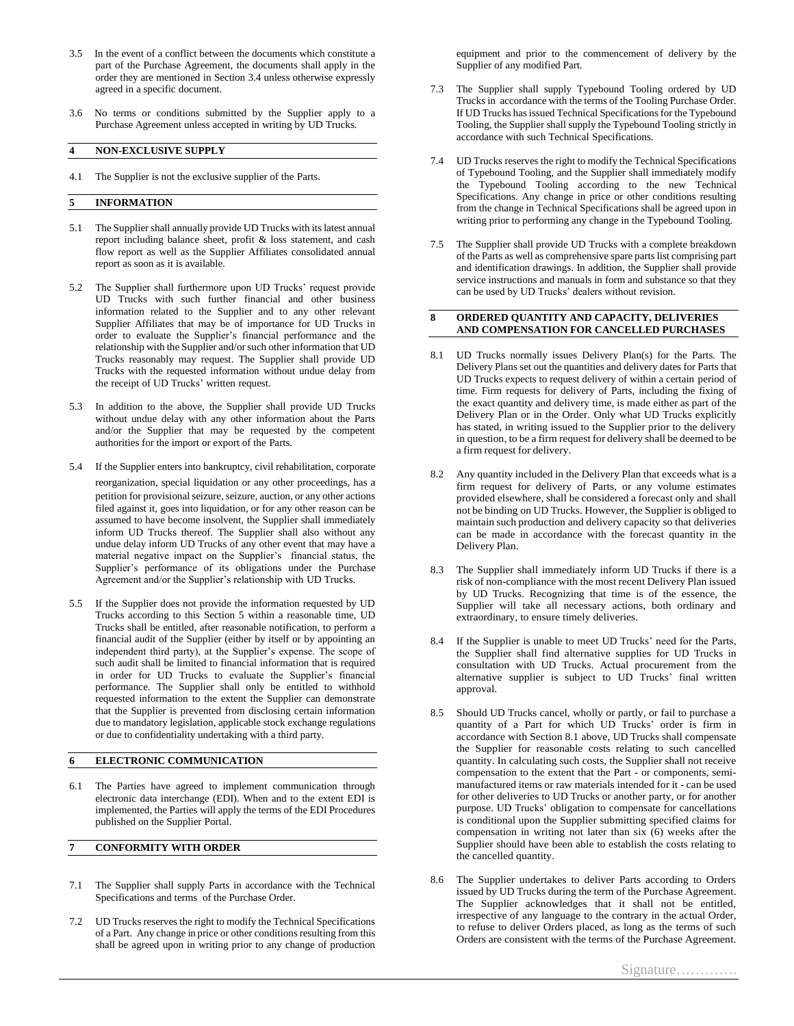- 3.5 In the event of a conflict between the documents which constitute a part of the Purchase Agreement, the documents shall apply in the order they are mentioned in Section 3.4 unless otherwise expressly agreed in a specific document.
- 3.6 No terms or conditions submitted by the Supplier apply to a Purchase Agreement unless accepted in writing by UD Trucks.

# **4 NON-EXCLUSIVE SUPPLY**

4.1 The Supplier is not the exclusive supplier of the Parts.

### **5 INFORMATION**

- 5.1 The Supplier shall annually provide UD Trucks with its latest annual report including balance sheet, profit & loss statement, and cash flow report as well as the Supplier Affiliates consolidated annual report as soon as it is available.
- 5.2 The Supplier shall furthermore upon UD Trucks' request provide UD Trucks with such further financial and other business information related to the Supplier and to any other relevant Supplier Affiliates that may be of importance for UD Trucks in order to evaluate the Supplier's financial performance and the relationship with the Supplier and/or such other information that UD Trucks reasonably may request. The Supplier shall provide UD Trucks with the requested information without undue delay from the receipt of UD Trucks' written request.
- 5.3 In addition to the above, the Supplier shall provide UD Trucks without undue delay with any other information about the Parts and/or the Supplier that may be requested by the competent authorities for the import or export of the Parts.
- 5.4 If the Supplier enters into bankruptcy, civil rehabilitation, corporate reorganization, special liquidation or any other proceedings, has a petition for provisional seizure, seizure, auction, or any other actions filed against it, goes into liquidation, or for any other reason can be assumed to have become insolvent, the Supplier shall immediately inform UD Trucks thereof. The Supplier shall also without any undue delay inform UD Trucks of any other event that may have a material negative impact on the Supplier's financial status, the Supplier's performance of its obligations under the Purchase Agreement and/or the Supplier's relationship with UD Trucks.
- 5.5 If the Supplier does not provide the information requested by UD Trucks according to this Section 5 within a reasonable time, UD Trucks shall be entitled, after reasonable notification, to perform a financial audit of the Supplier (either by itself or by appointing an independent third party), at the Supplier's expense. The scope of such audit shall be limited to financial information that is required in order for UD Trucks to evaluate the Supplier's financial performance. The Supplier shall only be entitled to withhold requested information to the extent the Supplier can demonstrate that the Supplier is prevented from disclosing certain information due to mandatory legislation, applicable stock exchange regulations or due to confidentiality undertaking with a third party.

# **6 ELECTRONIC COMMUNICATION**

6.1 The Parties have agreed to implement communication through electronic data interchange (EDI). When and to the extent EDI is implemented, the Parties will apply the terms of the EDI Procedures published on the Supplier Portal.

#### **7 CONFORMITY WITH ORDER**

- The Supplier shall supply Parts in accordance with the Technical Specifications and terms of the Purchase Order.
- 7.2 UD Trucks reserves the right to modify the Technical Specifications of a Part. Any change in price or other conditions resulting from this shall be agreed upon in writing prior to any change of production

equipment and prior to the commencement of delivery by the Supplier of any modified Part.

- 7.3 The Supplier shall supply Typebound Tooling ordered by UD Trucks in accordance with the terms of the Tooling Purchase Order. If UD Trucks has issued Technical Specifications for the Typebound Tooling, the Supplier shall supply the Typebound Tooling strictly in accordance with such Technical Specifications.
- 7.4 UD Trucks reserves the right to modify the Technical Specifications of Typebound Tooling, and the Supplier shall immediately modify the Typebound Tooling according to the new Technical Specifications. Any change in price or other conditions resulting from the change in Technical Specifications shall be agreed upon in writing prior to performing any change in the Typebound Tooling.
- 7.5 The Supplier shall provide UD Trucks with a complete breakdown of the Parts as well as comprehensive spare parts list comprising part and identification drawings. In addition, the Supplier shall provide service instructions and manuals in form and substance so that they can be used by UD Trucks' dealers without revision.

#### **8 ORDERED QUANTITY AND CAPACITY, DELIVERIES AND COMPENSATION FOR CANCELLED PURCHASES**

- 8.1 UD Trucks normally issues Delivery Plan(s) for the Parts. The Delivery Plans set out the quantities and delivery dates for Parts that UD Trucks expects to request delivery of within a certain period of time. Firm requests for delivery of Parts, including the fixing of the exact quantity and delivery time, is made either as part of the Delivery Plan or in the Order. Only what UD Trucks explicitly has stated, in writing issued to the Supplier prior to the delivery in question, to be a firm request for delivery shall be deemed to be a firm request for delivery.
- 8.2 Any quantity included in the Delivery Plan that exceeds what is a firm request for delivery of Parts, or any volume estimates provided elsewhere, shall be considered a forecast only and shall not be binding on UD Trucks. However, the Supplier is obliged to maintain such production and delivery capacity so that deliveries can be made in accordance with the forecast quantity in the Delivery Plan.
- 8.3 The Supplier shall immediately inform UD Trucks if there is a risk of non-compliance with the most recent Delivery Plan issued by UD Trucks. Recognizing that time is of the essence, the Supplier will take all necessary actions, both ordinary and extraordinary, to ensure timely deliveries.
- 8.4 If the Supplier is unable to meet UD Trucks' need for the Parts, the Supplier shall find alternative supplies for UD Trucks in consultation with UD Trucks. Actual procurement from the alternative supplier is subject to UD Trucks' final written approval.
- 8.5 Should UD Trucks cancel, wholly or partly, or fail to purchase a quantity of a Part for which UD Trucks' order is firm in accordance with Section 8.1 above, UD Trucks shall compensate the Supplier for reasonable costs relating to such cancelled quantity. In calculating such costs, the Supplier shall not receive compensation to the extent that the Part - or components, semimanufactured items or raw materials intended for it - can be used for other deliveries to UD Trucks or another party, or for another purpose. UD Trucks' obligation to compensate for cancellations is conditional upon the Supplier submitting specified claims for compensation in writing not later than  $\overrightarrow{six}$  (6) weeks after the Supplier should have been able to establish the costs relating to the cancelled quantity.
- 8.6 The Supplier undertakes to deliver Parts according to Orders issued by UD Trucks during the term of the Purchase Agreement. The Supplier acknowledges that it shall not be entitled, irrespective of any language to the contrary in the actual Order, to refuse to deliver Orders placed, as long as the terms of such Orders are consistent with the terms of the Purchase Agreement.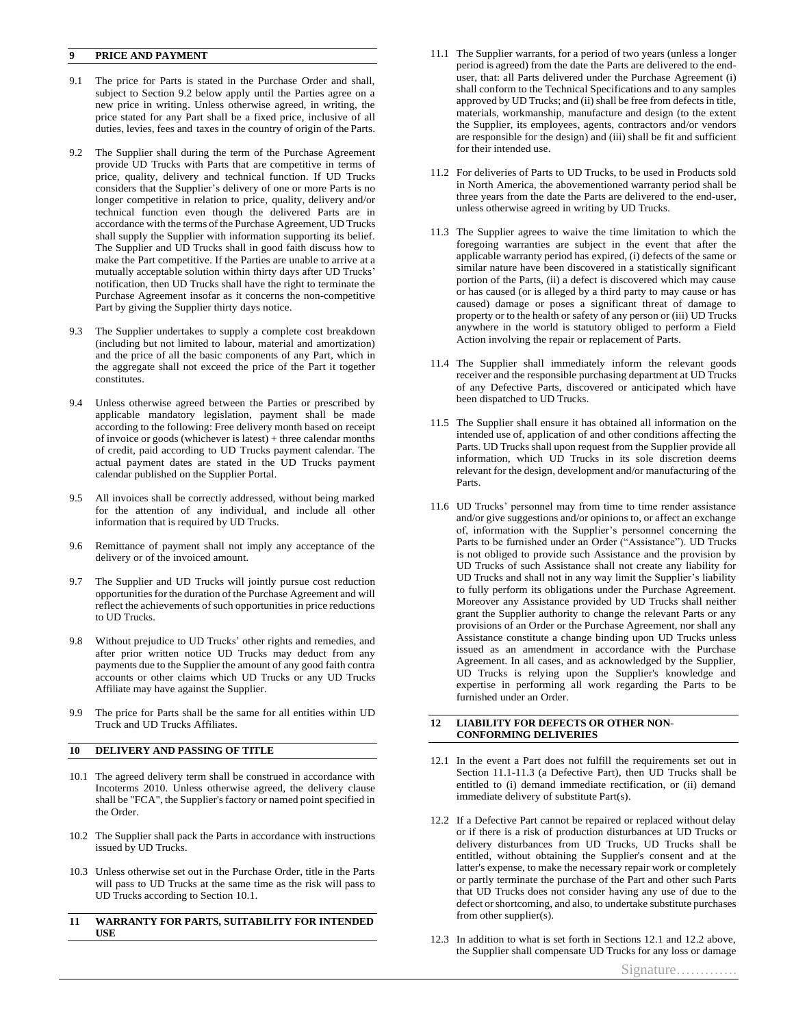# **9 PRICE AND PAYMENT**

- 9.1 The price for Parts is stated in the Purchase Order and shall, subject to Section 9.2 below apply until the Parties agree on a new price in writing. Unless otherwise agreed, in writing, the price stated for any Part shall be a fixed price, inclusive of all duties, levies, fees and taxes in the country of origin of the Parts.
- 9.2 The Supplier shall during the term of the Purchase Agreement provide UD Trucks with Parts that are competitive in terms of price, quality, delivery and technical function. If UD Trucks considers that the Supplier's delivery of one or more Parts is no longer competitive in relation to price, quality, delivery and/or technical function even though the delivered Parts are in accordance with the terms of the Purchase Agreement, UD Trucks shall supply the Supplier with information supporting its belief. The Supplier and UD Trucks shall in good faith discuss how to make the Part competitive. If the Parties are unable to arrive at a mutually acceptable solution within thirty days after UD Trucks' notification, then UD Trucks shall have the right to terminate the Purchase Agreement insofar as it concerns the non-competitive Part by giving the Supplier thirty days notice.
- 9.3 The Supplier undertakes to supply a complete cost breakdown (including but not limited to labour, material and amortization) and the price of all the basic components of any Part, which in the aggregate shall not exceed the price of the Part it together constitutes.
- 9.4 Unless otherwise agreed between the Parties or prescribed by applicable mandatory legislation, payment shall be made according to the following: Free delivery month based on receipt of invoice or goods (whichever is latest) + three calendar months of credit, paid according to UD Trucks payment calendar. The actual payment dates are stated in the UD Trucks payment calendar published on the Supplier Portal.
- 9.5 All invoices shall be correctly addressed, without being marked for the attention of any individual, and include all other information that is required by UD Trucks.
- 9.6 Remittance of payment shall not imply any acceptance of the delivery or of the invoiced amount.
- 9.7 The Supplier and UD Trucks will jointly pursue cost reduction opportunities for the duration of the Purchase Agreement and will reflect the achievements of such opportunities in price reductions to UD Trucks.
- 9.8 Without prejudice to UD Trucks' other rights and remedies, and after prior written notice UD Trucks may deduct from any payments due to the Supplier the amount of any good faith contra accounts or other claims which UD Trucks or any UD Trucks Affiliate may have against the Supplier.
- 9.9 The price for Parts shall be the same for all entities within UD Truck and UD Trucks Affiliates.

# **10 DELIVERY AND PASSING OF TITLE**

- 10.1 The agreed delivery term shall be construed in accordance with Incoterms 2010. Unless otherwise agreed, the delivery clause shall be "FCA", the Supplier's factory or named point specified in the Order.
- 10.2 The Supplier shall pack the Parts in accordance with instructions issued by UD Trucks.
- 10.3 Unless otherwise set out in the Purchase Order, title in the Parts will pass to UD Trucks at the same time as the risk will pass to UD Trucks according to Section 10.1.

#### **11 WARRANTY FOR PARTS, SUITABILITY FOR INTENDED USE**

- 11.1 The Supplier warrants, for a period of two years (unless a longer period is agreed) from the date the Parts are delivered to the enduser, that: all Parts delivered under the Purchase Agreement (i) shall conform to the Technical Specifications and to any samples approved by UD Trucks; and (ii) shall be free from defects in title, materials, workmanship, manufacture and design (to the extent the Supplier, its employees, agents, contractors and/or vendors are responsible for the design) and (iii) shall be fit and sufficient for their intended use.
- 11.2 For deliveries of Parts to UD Trucks, to be used in Products sold in North America, the abovementioned warranty period shall be three years from the date the Parts are delivered to the end-user, unless otherwise agreed in writing by UD Trucks.
- 11.3 The Supplier agrees to waive the time limitation to which the foregoing warranties are subject in the event that after the applicable warranty period has expired, (i) defects of the same or similar nature have been discovered in a statistically significant portion of the Parts, (ii) a defect is discovered which may cause or has caused (or is alleged by a third party to may cause or has caused) damage or poses a significant threat of damage to property or to the health or safety of any person or (iii) UD Trucks anywhere in the world is statutory obliged to perform a Field Action involving the repair or replacement of Parts.
- 11.4 The Supplier shall immediately inform the relevant goods receiver and the responsible purchasing department at UD Trucks of any Defective Parts, discovered or anticipated which have been dispatched to UD Trucks.
- 11.5 The Supplier shall ensure it has obtained all information on the intended use of, application of and other conditions affecting the Parts. UD Trucks shall upon request from the Supplier provide all information, which UD Trucks in its sole discretion deems relevant for the design, development and/or manufacturing of the Parts.
- 11.6 UD Trucks' personnel may from time to time render assistance and/or give suggestions and/or opinions to, or affect an exchange of, information with the Supplier's personnel concerning the Parts to be furnished under an Order ("Assistance"). UD Trucks is not obliged to provide such Assistance and the provision by UD Trucks of such Assistance shall not create any liability for UD Trucks and shall not in any way limit the Supplier's liability to fully perform its obligations under the Purchase Agreement. Moreover any Assistance provided by UD Trucks shall neither grant the Supplier authority to change the relevant Parts or any provisions of an Order or the Purchase Agreement, nor shall any Assistance constitute a change binding upon UD Trucks unless issued as an amendment in accordance with the Purchase Agreement. In all cases, and as acknowledged by the Supplier, UD Trucks is relying upon the Supplier's knowledge and expertise in performing all work regarding the Parts to be furnished under an Order.

#### **12 LIABILITY FOR DEFECTS OR OTHER NON-CONFORMING DELIVERIES**

- 12.1 In the event a Part does not fulfill the requirements set out in Section 11.1-11.3 (a Defective Part), then UD Trucks shall be entitled to (i) demand immediate rectification, or (ii) demand immediate delivery of substitute Part(s).
- 12.2 If a Defective Part cannot be repaired or replaced without delay or if there is a risk of production disturbances at UD Trucks or delivery disturbances from UD Trucks, UD Trucks shall be entitled, without obtaining the Supplier's consent and at the latter's expense, to make the necessary repair work or completely or partly terminate the purchase of the Part and other such Parts that UD Trucks does not consider having any use of due to the defect or shortcoming, and also, to undertake substitute purchases from other supplier(s).
- 12.3 In addition to what is set forth in Sections 12.1 and 12.2 above, the Supplier shall compensate UD Trucks for any loss or damage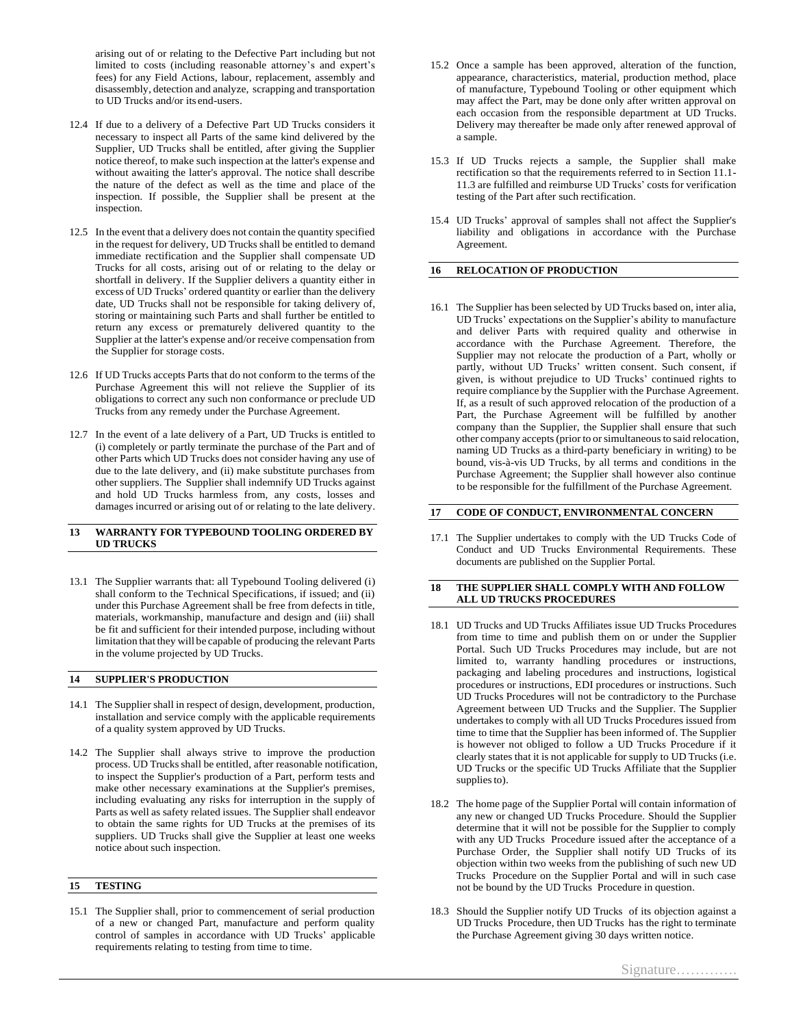arising out of or relating to the Defective Part including but not limited to costs (including reasonable attorney's and expert's fees) for any Field Actions, labour, replacement, assembly and disassembly, detection and analyze, scrapping and transportation to UD Trucks and/or its end-users.

- 12.4 If due to a delivery of a Defective Part UD Trucks considers it necessary to inspect all Parts of the same kind delivered by the Supplier, UD Trucks shall be entitled, after giving the Supplier notice thereof, to make such inspection at the latter's expense and without awaiting the latter's approval. The notice shall describe the nature of the defect as well as the time and place of the inspection. If possible, the Supplier shall be present at the inspection.
- 12.5 In the event that a delivery does not contain the quantity specified in the request for delivery, UD Trucks shall be entitled to demand immediate rectification and the Supplier shall compensate UD Trucks for all costs, arising out of or relating to the delay or shortfall in delivery. If the Supplier delivers a quantity either in excess of UD Trucks' ordered quantity or earlier than the delivery date, UD Trucks shall not be responsible for taking delivery of, storing or maintaining such Parts and shall further be entitled to return any excess or prematurely delivered quantity to the Supplier at the latter's expense and/or receive compensation from the Supplier for storage costs.
- 12.6 If UD Trucks accepts Parts that do not conform to the terms of the Purchase Agreement this will not relieve the Supplier of its obligations to correct any such non conformance or preclude UD Trucks from any remedy under the Purchase Agreement.
- 12.7 In the event of a late delivery of a Part, UD Trucks is entitled to (i) completely or partly terminate the purchase of the Part and of other Parts which UD Trucks does not consider having any use of due to the late delivery, and (ii) make substitute purchases from other suppliers. The Supplier shall indemnify UD Trucks against and hold UD Trucks harmless from, any costs, losses and damages incurred or arising out of or relating to the late delivery.

### **13 WARRANTY FOR TYPEBOUND TOOLING ORDERED BY UD TRUCKS**

13.1 The Supplier warrants that: all Typebound Tooling delivered (i) shall conform to the Technical Specifications, if issued; and (ii) under this Purchase Agreement shall be free from defects in title, materials, workmanship, manufacture and design and (iii) shall be fit and sufficient for their intended purpose, including without limitation that they will be capable of producing the relevant Parts in the volume projected by UD Trucks.

# **14 SUPPLIER'S PRODUCTION**

- 14.1 The Supplier shall in respect of design, development, production, installation and service comply with the applicable requirements of a quality system approved by UD Trucks.
- 14.2 The Supplier shall always strive to improve the production process. UD Trucks shall be entitled, after reasonable notification, to inspect the Supplier's production of a Part, perform tests and make other necessary examinations at the Supplier's premises, including evaluating any risks for interruption in the supply of Parts as well as safety related issues. The Supplier shall endeavor to obtain the same rights for UD Trucks at the premises of its suppliers. UD Trucks shall give the Supplier at least one weeks notice about such inspection.

### **15 TESTING**

15.1 The Supplier shall, prior to commencement of serial production of a new or changed Part, manufacture and perform quality control of samples in accordance with UD Trucks' applicable requirements relating to testing from time to time.

- 15.2 Once a sample has been approved, alteration of the function, appearance, characteristics, material, production method, place of manufacture, Typebound Tooling or other equipment which may affect the Part, may be done only after written approval on each occasion from the responsible department at UD Trucks. Delivery may thereafter be made only after renewed approval of a sample.
- 15.3 If UD Trucks rejects a sample, the Supplier shall make rectification so that the requirements referred to in Section 11.1- 11.3 are fulfilled and reimburse UD Trucks' costs for verification testing of the Part after such rectification.
- 15.4 UD Trucks' approval of samples shall not affect the Supplier's liability and obligations in accordance with the Purchase Agreement.

# **16 RELOCATION OF PRODUCTION**

16.1 The Supplier has been selected by UD Trucks based on, inter alia, UD Trucks' expectations on the Supplier's ability to manufacture and deliver Parts with required quality and otherwise in accordance with the Purchase Agreement. Therefore, the Supplier may not relocate the production of a Part, wholly or partly, without UD Trucks' written consent. Such consent, if given, is without prejudice to UD Trucks' continued rights to require compliance by the Supplier with the Purchase Agreement. If, as a result of such approved relocation of the production of a Part, the Purchase Agreement will be fulfilled by another company than the Supplier, the Supplier shall ensure that such other company accepts (prior to or simultaneous to said relocation, naming UD Trucks as a third-party beneficiary in writing) to be bound, vis-à-vis UD Trucks, by all terms and conditions in the Purchase Agreement; the Supplier shall however also continue to be responsible for the fulfillment of the Purchase Agreement.

#### **17 CODE OF CONDUCT, ENVIRONMENTAL CONCERN**

17.1 The Supplier undertakes to comply with the UD Trucks Code of Conduct and UD Trucks Environmental Requirements. These documents are published on the Supplier Portal.

#### **18 THE SUPPLIER SHALL COMPLY WITH AND FOLLOW ALL UD TRUCKS PROCEDURES**

- 18.1 UD Trucks and UD Trucks Affiliates issue UD Trucks Procedures from time to time and publish them on or under the Supplier Portal. Such UD Trucks Procedures may include, but are not limited to, warranty handling procedures or instructions, packaging and labeling procedures and instructions, logistical procedures or instructions, EDI procedures or instructions. Such UD Trucks Procedures will not be contradictory to the Purchase Agreement between UD Trucks and the Supplier. The Supplier undertakes to comply with all UD Trucks Procedures issued from time to time that the Supplier has been informed of. The Supplier is however not obliged to follow a UD Trucks Procedure if it clearly states that it is not applicable for supply to UD Trucks (i.e. UD Trucks or the specific UD Trucks Affiliate that the Supplier supplies to).
- 18.2 The home page of the Supplier Portal will contain information of any new or changed UD Trucks Procedure. Should the Supplier determine that it will not be possible for the Supplier to comply with any UD Trucks Procedure issued after the acceptance of a Purchase Order, the Supplier shall notify UD Trucks of its objection within two weeks from the publishing of such new UD Trucks Procedure on the Supplier Portal and will in such case not be bound by the UD Trucks Procedure in question.
- 18.3 Should the Supplier notify UD Trucks of its objection against a UD Trucks Procedure, then UD Trucks has the right to terminate the Purchase Agreement giving 30 days written notice.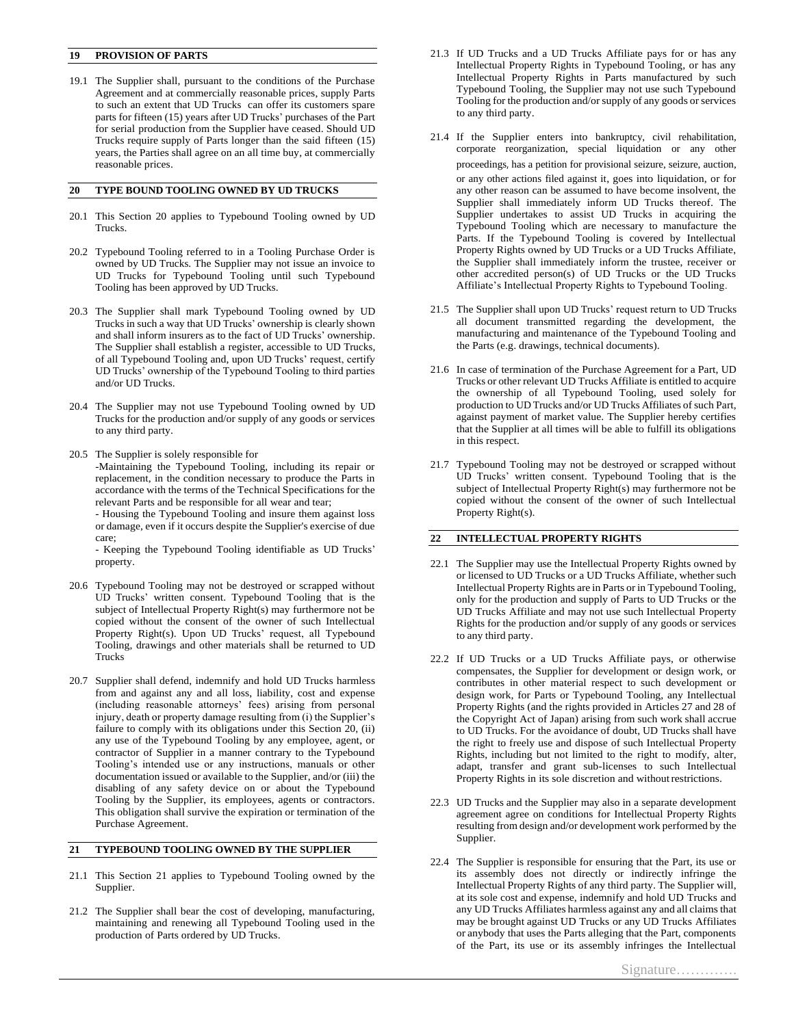### **19 PROVISION OF PARTS**

19.1 The Supplier shall, pursuant to the conditions of the Purchase Agreement and at commercially reasonable prices, supply Parts to such an extent that UD Trucks can offer its customers spare parts for fifteen (15) years after UD Trucks' purchases of the Part for serial production from the Supplier have ceased. Should UD Trucks require supply of Parts longer than the said fifteen (15) years, the Parties shall agree on an all time buy, at commercially reasonable prices.

#### **20 TYPE BOUND TOOLING OWNED BY UD TRUCKS**

- 20.1 This Section 20 applies to Typebound Tooling owned by UD Trucks.
- 20.2 Typebound Tooling referred to in a Tooling Purchase Order is owned by UD Trucks. The Supplier may not issue an invoice to UD Trucks for Typebound Tooling until such Typebound Tooling has been approved by UD Trucks.
- 20.3 The Supplier shall mark Typebound Tooling owned by UD Trucks in such a way that UD Trucks' ownership is clearly shown and shall inform insurers as to the fact of UD Trucks' ownership. The Supplier shall establish a register, accessible to UD Trucks, of all Typebound Tooling and, upon UD Trucks' request, certify UD Trucks' ownership of the Typebound Tooling to third parties and/or UD Trucks.
- 20.4 The Supplier may not use Typebound Tooling owned by UD Trucks for the production and/or supply of any goods or services to any third party.
- 20.5 The Supplier is solely responsible for -Maintaining the Typebound Tooling, including its repair or replacement, in the condition necessary to produce the Parts in accordance with the terms of the Technical Specifications for the relevant Parts and be responsible for all wear and tear;

- Housing the Typebound Tooling and insure them against loss or damage, even if it occurs despite the Supplier's exercise of due care;

- Keeping the Typebound Tooling identifiable as UD Trucks' property.

- 20.6 Typebound Tooling may not be destroyed or scrapped without UD Trucks' written consent. Typebound Tooling that is the subject of Intellectual Property Right(s) may furthermore not be copied without the consent of the owner of such Intellectual Property Right(s). Upon UD Trucks' request, all Typebound Tooling, drawings and other materials shall be returned to UD Trucks
- 20.7 Supplier shall defend, indemnify and hold UD Trucks harmless from and against any and all loss, liability, cost and expense (including reasonable attorneys' fees) arising from personal injury, death or property damage resulting from (i) the Supplier's failure to comply with its obligations under this Section 20, (ii) any use of the Typebound Tooling by any employee, agent, or contractor of Supplier in a manner contrary to the Typebound Tooling's intended use or any instructions, manuals or other documentation issued or available to the Supplier, and/or (iii) the disabling of any safety device on or about the Typebound Tooling by the Supplier, its employees, agents or contractors. This obligation shall survive the expiration or termination of the Purchase Agreement.

## **21 TYPEBOUND TOOLING OWNED BY THE SUPPLIER**

- 21.1 This Section 21 applies to Typebound Tooling owned by the Supplier.
- 21.2 The Supplier shall bear the cost of developing, manufacturing, maintaining and renewing all Typebound Tooling used in the production of Parts ordered by UD Trucks.
- 21.3 If UD Trucks and a UD Trucks Affiliate pays for or has any Intellectual Property Rights in Typebound Tooling, or has any Intellectual Property Rights in Parts manufactured by such Typebound Tooling, the Supplier may not use such Typebound Tooling for the production and/or supply of any goods or services to any third party.
- 21.4 If the Supplier enters into bankruptcy, civil rehabilitation, corporate reorganization, special liquidation or any other proceedings, has a petition for provisional seizure, seizure, auction, or any other actions filed against it, goes into liquidation, or for any other reason can be assumed to have become insolvent, the Supplier shall immediately inform UD Trucks thereof. The Supplier undertakes to assist UD Trucks in acquiring the Typebound Tooling which are necessary to manufacture the Parts. If the Typebound Tooling is covered by Intellectual Property Rights owned by UD Trucks or a UD Trucks Affiliate, the Supplier shall immediately inform the trustee, receiver or other accredited person(s) of UD Trucks or the UD Trucks Affiliate's Intellectual Property Rights to Typebound Tooling.
- 21.5 The Supplier shall upon UD Trucks' request return to UD Trucks all document transmitted regarding the development, the manufacturing and maintenance of the Typebound Tooling and the Parts (e.g. drawings, technical documents).
- 21.6 In case of termination of the Purchase Agreement for a Part, UD Trucks or other relevant UD Trucks Affiliate is entitled to acquire the ownership of all Typebound Tooling, used solely for production to UD Trucks and/or UD Trucks Affiliates of such Part, against payment of market value. The Supplier hereby certifies that the Supplier at all times will be able to fulfill its obligations in this respect.
- 21.7 Typebound Tooling may not be destroyed or scrapped without UD Trucks' written consent. Typebound Tooling that is the subject of Intellectual Property Right(s) may furthermore not be copied without the consent of the owner of such Intellectual Property Right(s).

### **22 INTELLECTUAL PROPERTY RIGHTS**

- 22.1 The Supplier may use the Intellectual Property Rights owned by or licensed to UD Trucks or a UD Trucks Affiliate, whether such Intellectual Property Rights are in Parts or in Typebound Tooling, only for the production and supply of Parts to UD Trucks or the UD Trucks Affiliate and may not use such Intellectual Property Rights for the production and/or supply of any goods or services to any third party.
- 22.2 If UD Trucks or a UD Trucks Affiliate pays, or otherwise compensates, the Supplier for development or design work, or contributes in other material respect to such development or design work, for Parts or Typebound Tooling, any Intellectual Property Rights (and the rights provided in Articles 27 and 28 of the Copyright Act of Japan) arising from such work shall accrue to UD Trucks. For the avoidance of doubt, UD Trucks shall have the right to freely use and dispose of such Intellectual Property Rights, including but not limited to the right to modify, alter, adapt, transfer and grant sub-licenses to such Intellectual Property Rights in its sole discretion and without restrictions.
- 22.3 UD Trucks and the Supplier may also in a separate development agreement agree on conditions for Intellectual Property Rights resulting from design and/or development work performed by the Supplier.
- 22.4 The Supplier is responsible for ensuring that the Part, its use or its assembly does not directly or indirectly infringe the Intellectual Property Rights of any third party. The Supplier will, at its sole cost and expense, indemnify and hold UD Trucks and any UD Trucks Affiliates harmless against any and all claimsthat may be brought against UD Trucks or any UD Trucks Affiliates or anybody that uses the Parts alleging that the Part, components of the Part, its use or its assembly infringes the Intellectual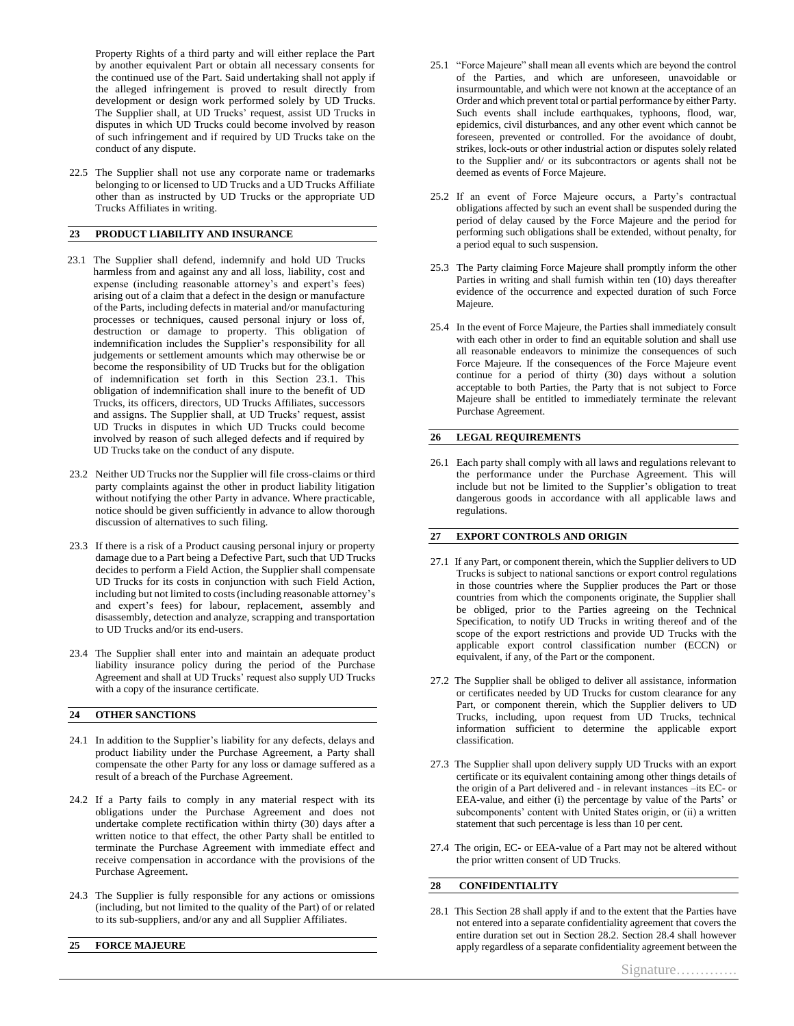Property Rights of a third party and will either replace the Part by another equivalent Part or obtain all necessary consents for the continued use of the Part. Said undertaking shall not apply if the alleged infringement is proved to result directly from development or design work performed solely by UD Trucks. The Supplier shall, at UD Trucks' request, assist UD Trucks in disputes in which UD Trucks could become involved by reason of such infringement and if required by UD Trucks take on the conduct of any dispute.

22.5 The Supplier shall not use any corporate name or trademarks belonging to or licensed to UD Trucks and a UD Trucks Affiliate other than as instructed by UD Trucks or the appropriate UD Trucks Affiliates in writing.

# **23 PRODUCT LIABILITY AND INSURANCE**

- 23.1 The Supplier shall defend, indemnify and hold UD Trucks harmless from and against any and all loss, liability, cost and expense (including reasonable attorney's and expert's fees) arising out of a claim that a defect in the design or manufacture of the Parts, including defects in material and/or manufacturing processes or techniques, caused personal injury or loss of, destruction or damage to property. This obligation of indemnification includes the Supplier's responsibility for all judgements or settlement amounts which may otherwise be or become the responsibility of UD Trucks but for the obligation of indemnification set forth in this Section 23.1. This obligation of indemnification shall inure to the benefit of UD Trucks, its officers, directors, UD Trucks Affiliates, successors and assigns. The Supplier shall, at UD Trucks' request, assist UD Trucks in disputes in which UD Trucks could become involved by reason of such alleged defects and if required by UD Trucks take on the conduct of any dispute.
- 23.2 Neither UD Trucks nor the Supplier will file cross-claims or third party complaints against the other in product liability litigation without notifying the other Party in advance. Where practicable, notice should be given sufficiently in advance to allow thorough discussion of alternatives to such filing.
- 23.3 If there is a risk of a Product causing personal injury or property damage due to a Part being a Defective Part, such that UD Trucks decides to perform a Field Action, the Supplier shall compensate UD Trucks for its costs in conjunction with such Field Action, including but not limited to costs(including reasonable attorney's and expert's fees) for labour, replacement, assembly and disassembly, detection and analyze, scrapping and transportation to UD Trucks and/or its end-users.
- 23.4 The Supplier shall enter into and maintain an adequate product liability insurance policy during the period of the Purchase Agreement and shall at UD Trucks' request also supply UD Trucks with a copy of the insurance certificate.

#### **24 OTHER SANCTIONS**

- 24.1 In addition to the Supplier's liability for any defects, delays and product liability under the Purchase Agreement, a Party shall compensate the other Party for any loss or damage suffered as a result of a breach of the Purchase Agreement.
- 24.2 If a Party fails to comply in any material respect with its obligations under the Purchase Agreement and does not undertake complete rectification within thirty (30) days after a written notice to that effect, the other Party shall be entitled to terminate the Purchase Agreement with immediate effect and receive compensation in accordance with the provisions of the Purchase Agreement.
- 24.3 The Supplier is fully responsible for any actions or omissions (including, but not limited to the quality of the Part) of or related to its sub-suppliers, and/or any and all Supplier Affiliates.
- **25 FORCE MAJEURE**
- 25.1 "Force Majeure" shall mean all events which are beyond the control of the Parties, and which are unforeseen, unavoidable or insurmountable, and which were not known at the acceptance of an Order and which prevent total or partial performance by either Party. Such events shall include earthquakes, typhoons, flood, war, epidemics, civil disturbances, and any other event which cannot be foreseen, prevented or controlled. For the avoidance of doubt, strikes, lock-outs or other industrial action or disputes solely related to the Supplier and/ or its subcontractors or agents shall not be deemed as events of Force Majeure.
- 25.2 If an event of Force Majeure occurs, a Party's contractual obligations affected by such an event shall be suspended during the period of delay caused by the Force Majeure and the period for performing such obligations shall be extended, without penalty, for a period equal to such suspension.
- 25.3 The Party claiming Force Majeure shall promptly inform the other Parties in writing and shall furnish within ten (10) days thereafter evidence of the occurrence and expected duration of such Force Majeure.
- 25.4 In the event of Force Majeure, the Parties shall immediately consult with each other in order to find an equitable solution and shall use all reasonable endeavors to minimize the consequences of such Force Majeure. If the consequences of the Force Majeure event continue for a period of thirty (30) days without a solution acceptable to both Parties, the Party that is not subject to Force Majeure shall be entitled to immediately terminate the relevant Purchase Agreement.

#### **26 LEGAL REQUIREMENTS**

26.1 Each party shall comply with all laws and regulations relevant to the performance under the Purchase Agreement. This will include but not be limited to the Supplier's obligation to treat dangerous goods in accordance with all applicable laws and regulations.

#### **27 EXPORT CONTROLS AND ORIGIN**

- 27.1 If any Part, or component therein, which the Supplier delivers to UD Trucks is subject to national sanctions or export control regulations in those countries where the Supplier produces the Part or those countries from which the components originate, the Supplier shall be obliged, prior to the Parties agreeing on the Technical Specification, to notify UD Trucks in writing thereof and of the scope of the export restrictions and provide UD Trucks with the applicable export control classification number (ECCN) or equivalent, if any, of the Part or the component.
- 27.2 The Supplier shall be obliged to deliver all assistance, information or certificates needed by UD Trucks for custom clearance for any Part, or component therein, which the Supplier delivers to UD Trucks, including, upon request from UD Trucks, technical information sufficient to determine the applicable export classification.
- 27.3 The Supplier shall upon delivery supply UD Trucks with an export certificate or its equivalent containing among other things details of the origin of a Part delivered and - in relevant instances –its EC- or EEA-value, and either (i) the percentage by value of the Parts' or subcomponents' content with United States origin, or (ii) a written statement that such percentage is less than 10 per cent.
- 27.4 The origin, EC- or EEA-value of a Part may not be altered without the prior written consent of UD Trucks.

# **28 CONFIDENTIALITY**

28.1 This Section 28 shall apply if and to the extent that the Parties have not entered into a separate confidentiality agreement that covers the entire duration set out in Section 28.2. Section 28.4 shall however apply regardless of a separate confidentiality agreement between the